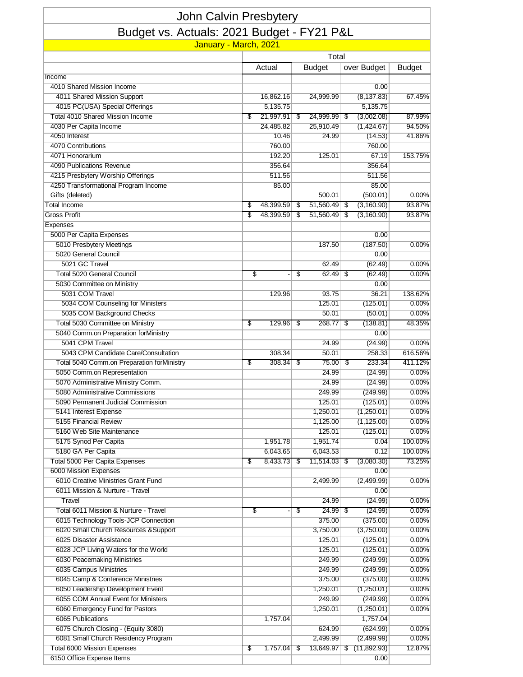| John Calvin Presbytery                                                    |       |                       |    |                           |    |                          |                  |  |  |  |  |  |  |
|---------------------------------------------------------------------------|-------|-----------------------|----|---------------------------|----|--------------------------|------------------|--|--|--|--|--|--|
| Budget vs. Actuals: 2021 Budget - FY21 P&L                                |       |                       |    |                           |    |                          |                  |  |  |  |  |  |  |
| January - March, 2021                                                     |       |                       |    |                           |    |                          |                  |  |  |  |  |  |  |
|                                                                           | Total |                       |    |                           |    |                          |                  |  |  |  |  |  |  |
|                                                                           |       | Actual                |    | <b>Budget</b>             |    | over Budget              | <b>Budget</b>    |  |  |  |  |  |  |
| Income                                                                    |       |                       |    |                           |    |                          |                  |  |  |  |  |  |  |
| 4010 Shared Mission Income                                                |       |                       |    |                           |    | 0.00                     |                  |  |  |  |  |  |  |
| 4011 Shared Mission Support                                               |       | 16,862.16             |    | 24,999.99                 |    | (8, 137.83)              | 67.45%           |  |  |  |  |  |  |
| 4015 PC(USA) Special Offerings<br><b>Total 4010 Shared Mission Income</b> |       | 5,135.75<br>21,997.91 |    |                           |    | 5,135.75                 |                  |  |  |  |  |  |  |
| 4030 Per Capita Income                                                    | \$    | 24,485.82             | \$ | 24,999.99 \$<br>25,910.49 |    | (3,002.08)<br>(1,424.67) | 87.99%<br>94.50% |  |  |  |  |  |  |
| 4050 Interest                                                             |       | 10.46                 |    | 24.99                     |    | (14.53)                  | 41.86%           |  |  |  |  |  |  |
| 4070 Contributions                                                        |       | 760.00                |    |                           |    | 760.00                   |                  |  |  |  |  |  |  |
| 4071 Honorarium                                                           |       | 192.20                |    | 125.01                    |    | 67.19                    | 153.75%          |  |  |  |  |  |  |
| 4090 Publications Revenue                                                 |       | 356.64                |    |                           |    | 356.64                   |                  |  |  |  |  |  |  |
| 4215 Presbytery Worship Offerings                                         |       | 511.56                |    |                           |    | 511.56                   |                  |  |  |  |  |  |  |
| 4250 Transformational Program Income                                      |       | 85.00                 |    |                           |    | 85.00                    |                  |  |  |  |  |  |  |
| Gifts (deleted)                                                           |       |                       |    | 500.01                    |    | (500.01)                 | $0.00\%$         |  |  |  |  |  |  |
| <b>Total Income</b>                                                       | \$    | 48,399.59             | \$ | 51,560.49                 | \$ | (3, 160.90)              | 93.87%           |  |  |  |  |  |  |
| <b>Gross Profit</b>                                                       | \$    | 48,399.59             | \$ | 51,560.49                 | \$ | (3, 160.90)              | 93.87%           |  |  |  |  |  |  |
| Expenses                                                                  |       |                       |    |                           |    |                          |                  |  |  |  |  |  |  |
| 5000 Per Capita Expenses                                                  |       |                       |    |                           |    | 0.00                     |                  |  |  |  |  |  |  |
| 5010 Presbytery Meetings                                                  |       |                       |    | 187.50                    |    | (187.50)                 | $0.00\%$         |  |  |  |  |  |  |
| 5020 General Council                                                      |       |                       |    |                           |    | 0.00                     |                  |  |  |  |  |  |  |
| 5021 GC Travel                                                            |       |                       |    | 62.49                     |    | (62.49)                  | 0.00%            |  |  |  |  |  |  |
| Total 5020 General Council                                                | \$    |                       | S  | 62.49                     | S  | (62.49)                  | $0.00\%$         |  |  |  |  |  |  |
| 5030 Committee on Ministry                                                |       |                       |    |                           |    | 0.00                     |                  |  |  |  |  |  |  |
| 5031 COM Travel                                                           |       | 129.96                |    | 93.75                     |    | 36.21                    | 138.62%          |  |  |  |  |  |  |
| 5034 COM Counseling for Ministers                                         |       |                       |    | 125.01                    |    | (125.01)                 | 0.00%            |  |  |  |  |  |  |
| 5035 COM Background Checks                                                |       |                       |    | 50.01                     |    | (50.01)                  | 0.00%            |  |  |  |  |  |  |
| Total 5030 Committee on Ministry                                          | \$    | 129.96                | \$ | 268.77                    | S  | (138.81)                 | 48.35%           |  |  |  |  |  |  |
| 5040 Comm.on Preparation forMinistry                                      |       |                       |    |                           |    | 0.00                     |                  |  |  |  |  |  |  |
| 5041 CPM Travel                                                           |       |                       |    | 24.99                     |    | (24.99)                  | 0.00%            |  |  |  |  |  |  |
| 5043 CPM Candidate Care/Consultation                                      |       | 308.34                |    | 50.01                     |    | 258.33                   | 616.56%          |  |  |  |  |  |  |
| Total 5040 Comm.on Preparation forMinistry                                | \$    | 308.34                | \$ | 75.00                     | \$ | 233.34                   | 411.12%          |  |  |  |  |  |  |
| 5050 Comm.on Representation                                               |       |                       |    | 24.99                     |    | (24.99)                  | 0.00%            |  |  |  |  |  |  |
| 5070 Administrative Ministry Comm.                                        |       |                       |    | 24.99                     |    | (24.99)                  | 0.00%            |  |  |  |  |  |  |
| 5080 Administrative Commissions                                           |       |                       |    | 249.99                    |    | (249.99)                 | 0.00%            |  |  |  |  |  |  |
| 5090 Permanent Judicial Commission                                        |       |                       |    | 125.01                    |    | (125.01)                 | 0.00%            |  |  |  |  |  |  |
| 5141 Interest Expense                                                     |       |                       |    | 1,250.01                  |    | (1,250.01)               | 0.00%            |  |  |  |  |  |  |
| 5155 Financial Review                                                     |       |                       |    | 1,125.00                  |    | (1, 125.00)              | 0.00%            |  |  |  |  |  |  |
| 5160 Web Site Maintenance                                                 |       |                       |    | 125.01                    |    | (125.01)                 | 0.00%            |  |  |  |  |  |  |
| 5175 Synod Per Capita                                                     |       | 1,951.78              |    | 1,951.74                  |    | 0.04                     | 100.00%          |  |  |  |  |  |  |
| 5180 GA Per Capita                                                        |       | 6,043.65<br>8,433.73  |    | 6,043.53                  |    | 0.12                     | 100.00%          |  |  |  |  |  |  |
| <b>Total 5000 Per Capita Expenses</b><br>6000 Mission Expenses            | \$    |                       | \$ | $11,514.03$ \$            |    | (3,080.30)<br>0.00       | 73.25%           |  |  |  |  |  |  |
| 6010 Creative Ministries Grant Fund                                       |       |                       |    |                           |    |                          | 0.00%            |  |  |  |  |  |  |
| 6011 Mission & Nurture - Travel                                           |       |                       |    | 2,499.99                  |    | (2,499.99)<br>0.00       |                  |  |  |  |  |  |  |
| Travel                                                                    |       |                       |    | 24.99                     |    | (24.99)                  | 0.00%            |  |  |  |  |  |  |
| Total 6011 Mission & Nurture - Travel                                     | S     |                       | S  | 24.99                     | \$ | (24.99)                  | 0.00%            |  |  |  |  |  |  |
| 6015 Technology Tools-JCP Connection                                      |       |                       |    | 375.00                    |    | (375.00)                 | 0.00%            |  |  |  |  |  |  |
| 6020 Small Church Resources & Support                                     |       |                       |    | 3,750.00                  |    | (3,750.00)               | 0.00%            |  |  |  |  |  |  |
| 6025 Disaster Assistance                                                  |       |                       |    | 125.01                    |    | (125.01)                 | 0.00%            |  |  |  |  |  |  |
| 6028 JCP Living Waters for the World                                      |       |                       |    | 125.01                    |    | (125.01)                 | 0.00%            |  |  |  |  |  |  |
| 6030 Peacemaking Ministries                                               |       |                       |    | 249.99                    |    | (249.99)                 | 0.00%            |  |  |  |  |  |  |
| 6035 Campus Ministries                                                    |       |                       |    | 249.99                    |    | (249.99)                 | 0.00%            |  |  |  |  |  |  |
| 6045 Camp & Conference Ministries                                         |       |                       |    | 375.00                    |    | (375.00)                 | 0.00%            |  |  |  |  |  |  |
| 6050 Leadership Development Event                                         |       |                       |    | 1,250.01                  |    | (1,250.01)               | 0.00%            |  |  |  |  |  |  |
| 6055 COM Annual Event for Ministers                                       |       |                       |    | 249.99                    |    | (249.99)                 | 0.00%            |  |  |  |  |  |  |
| 6060 Emergency Fund for Pastors                                           |       |                       |    | 1,250.01                  |    | (1,250.01)               | 0.00%            |  |  |  |  |  |  |
| 6065 Publications                                                         |       | 1,757.04              |    |                           |    | 1,757.04                 |                  |  |  |  |  |  |  |
| 6075 Church Closing - (Equity 3080)                                       |       |                       |    | 624.99                    |    | (624.99)                 | 0.00%            |  |  |  |  |  |  |
| 6081 Small Church Residency Program                                       |       |                       |    | 2,499.99                  |    | (2,499.99)               | 0.00%            |  |  |  |  |  |  |
| <b>Total 6000 Mission Expenses</b>                                        | \$    | 1,757.04              | S  | 13,649.97                 | \$ | (11,892.93)              | 12.87%           |  |  |  |  |  |  |
| 6150 Office Expense Items                                                 |       |                       |    |                           |    | 0.00                     |                  |  |  |  |  |  |  |